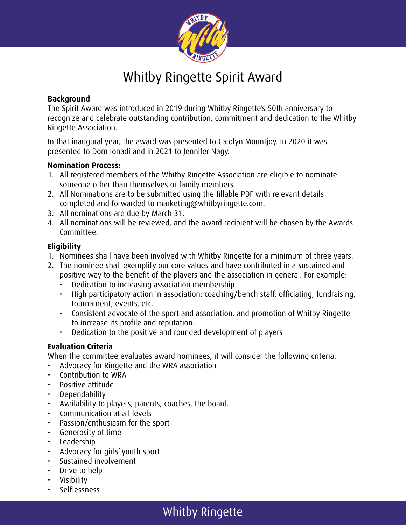

## Whitby Ringette Spirit Award

#### **Background**

The Spirit Award was introduced in 2019 during Whitby Ringette's 50th anniversary to recognize and celebrate outstanding contribution, commitment and dedication to the Whitby Ringette Association.

In that inaugural year, the award was presented to Carolyn Mountjoy. In 2020 it was presented to Dom Ionadi and in 2021 to Jennifer Nagy.

#### **Nomination Process:**

- 1. All registered members of the Whitby Ringette Association are eligible to nominate someone other than themselves or family members.
- 2. All Nominations are to be submitted using the fillable PDF with relevant details completed and forwarded to marketing@whitbyringette.com.
- 3. All nominations are due by March 31.
- 4. All nominations will be reviewed, and the award recipient will be chosen by the Awards Committee.

#### **Eligibility**

- 1. Nominees shall have been involved with Whitby Ringette for a minimum of three years.
- 2. The nominee shall exemplify our core values and have contributed in a sustained and positive way to the benefit of the players and the association in general. For example:
	- Dedication to increasing association membership
	- High participatory action in association: coaching/bench staff, officiating, fundraising, tournament, events, etc.
	- Consistent advocate of the sport and association, and promotion of Whitby Ringette to increase its profile and reputation.
	- Dedication to the positive and rounded development of players

#### **Evaluation Criteria**

When the committee evaluates award nominees, it will consider the following criteria:

- Advocacy for Ringette and the WRA association
- Contribution to WRA
- Positive attitude
- Dependability
- Availability to players, parents, coaches, the board.
- Communication at all levels
- Passion/enthusiasm for the sport
- Generosity of time
- Leadership
- Advocacy for girls' youth sport
- Sustained involvement
- Drive to help
- Visibility
- Selflessness

### Whitby Ringette